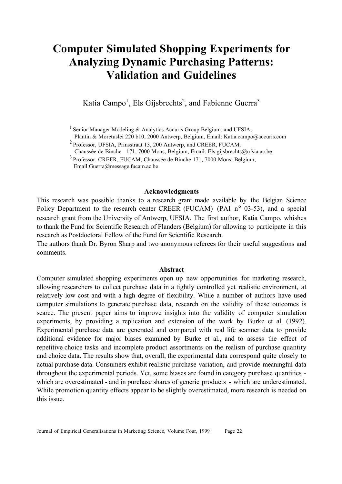# **Computer Simulated Shopping Experiments for Analyzing Dynamic Purchasing Patterns: Validation and Guidelines**

Katia Campo<sup>1</sup>, Els Gijsbrechts<sup>2</sup>, and Fabienne Guerra<sup>3</sup>

<sup>1</sup> Senior Manager Modeling & Analytics Accuris Group Belgium, and UFSIA,

Plantin & Moretuslei 220 b10, 2000 Antwerp, Belgium, Email: Katia.campo@accuris.com

2 Professor, UFSIA, Prinsstraat 13, 200 Antwerp, and CREER, FUCAM,

Chaussée de Binche 171, 7000 Mons, Belgium, Email: Els.gijsbrechts@ufsia.ac.be

3 Professor, CREER, FUCAM, Chaussée de Binche 171, 7000 Mons, Belgium, Email:Guerra@message.fucam.ac.be

#### **Acknowledgments**

This research was possible thanks to a research grant made available by the Belgian Science Policy Department to the research center CREER (FUCAM) (PAI n° 03-53), and a special research grant from the University of Antwerp, UFSIA. The first author, Katia Campo, whishes to thank the Fund for Scientific Research of Flanders (Belgium) for allowing to participate in this research as Postdoctoral Fellow of the Fund for Scientific Research.

The authors thank Dr. Byron Sharp and two anonymous referees for their useful suggestions and comments.

#### **Abstract**

Computer simulated shopping experiments open up new opportunities for marketing research, allowing researchers to collect purchase data in a tightly controlled yet realistic environment, at relatively low cost and with a high degree of flexibility. While a number of authors have used computer simulations to generate purchase data, research on the validity of these outcomes is scarce. The present paper aims to improve insights into the validity of computer simulation experiments, by providing a replication and extension of the work by Burke et al. (1992). Experimental purchase data are generated and compared with real life scanner data to provide additional evidence for major biases examined by Burke et al., and to assess the effect of repetitive choice tasks and incomplete product assortments on the realism of purchase quantity and choice data. The results show that, overall, the experimental data correspond quite closely to actual purchase data. Consumers exhibit realistic purchase variation, and provide meaningful data throughout the experimental periods. Yet, some biases are found in category purchase quantities which are overestimated - and in purchase shares of generic products - which are underestimated. While promotion quantity effects appear to be slightly overestimated, more research is needed on this issue.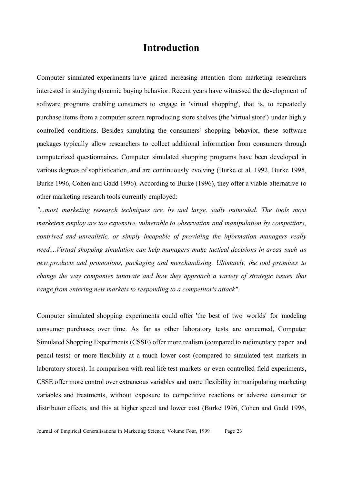### **Introduction**

Computer simulated experiments have gained increasing attention from marketing researchers interested in studying dynamic buying behavior. Recent years have witnessed the development of software programs enabling consumers to engage in 'virtual shopping', that is, to repeatedly purchase items from a computer screen reproducing store shelves (the 'virtual store') under highly controlled conditions. Besides simulating the consumers' shopping behavior, these software packages typically allow researchers to collect additional information from consumers through computerized questionnaires. Computer simulated shopping programs have been developed in various degrees of sophistication, and are continuously evolving (Burke et al. 1992, Burke 1995, Burke 1996, Cohen and Gadd 1996). According to Burke (1996), they offer a viable alternative to other marketing research tools currently employed:

*"...most marketing research techniques are, by and large, sadly outmoded. The tools most marketers employ are too expensive, vulnerable to observation and manipulation by competitors, contrived and unrealistic, or simply incapable of providing the information managers really need....Virtual shopping simulation can help managers make tactical decisions in areas such as new products and promotions, packaging and merchandising. Ultimately, the tool promises to change the way companies innovate and how they approach a variety of strategic issues that range from entering new markets to responding to a competitor's attack"*.

Computer simulated shopping experiments could offer 'the best of two worlds' for modeling consumer purchases over time. As far as other laboratory tests are concerned, Computer Simulated Shopping Experiments (CSSE) offer more realism (compared to rudimentary paper and pencil tests) or more flexibility at a much lower cost (compared to simulated test markets in laboratory stores). In comparison with real life test markets or even controlled field experiments, CSSE offer more control over extraneous variables and more flexibility in manipulating marketing variables and treatments, without exposure to competitive reactions or adverse consumer or distributor effects, and this at higher speed and lower cost (Burke 1996, Cohen and Gadd 1996,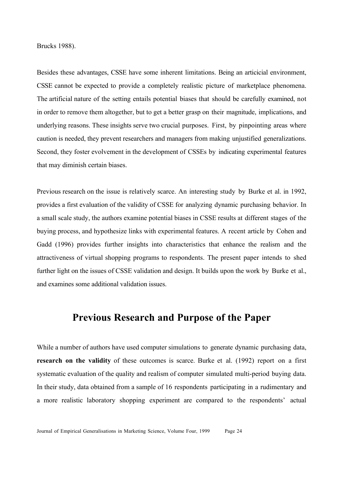Brucks 1988).

Besides these advantages, CSSE have some inherent limitations. Being an articicial environment, CSSE cannot be expected to provide a completely realistic picture of marketplace phenomena. The artificial nature of the setting entails potential biases that should be carefully examined, not in order to remove them altogether, but to get a better grasp on their magnitude, implications, and underlying reasons. These insights serve two crucial purposes. First, by pinpointing areas where caution is needed, they prevent researchers and managers from making unjustified generalizations. Second, they foster evolvement in the development of CSSEs by indicating experimental features that may diminish certain biases.

Previous research on the issue is relatively scarce. An interesting study by Burke et al. in 1992, provides a first evaluation of the validity of CSSE for analyzing dynamic purchasing behavior. In a small scale study, the authors examine potential biases in CSSE results at different stages of the buying process, and hypothesize links with experimental features. A recent article by Cohen and Gadd (1996) provides further insights into characteristics that enhance the realism and the attractiveness of virtual shopping programs to respondents. The present paper intends to shed further light on the issues of CSSE validation and design. It builds upon the work by Burke et al., and examines some additional validation issues.

### **Previous Research and Purpose of the Paper**

While a number of authors have used computer simulations to generate dynamic purchasing data, **research on the validity** of these outcomes is scarce. Burke et al. (1992) report on a first systematic evaluation of the quality and realism of computer simulated multi-period buying data. In their study, data obtained from a sample of 16 respondents participating in a rudimentary and a more realistic laboratory shopping experiment are compared to the respondents' actual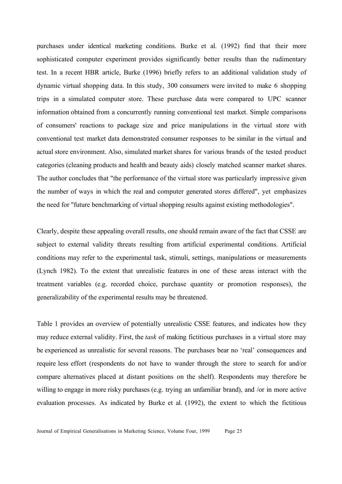purchases under identical marketing conditions. Burke et al. (1992) find that their more sophisticated computer experiment provides significantly better results than the rudimentary test. In a recent HBR article, Burke (1996) briefly refers to an additional validation study of dynamic virtual shopping data. In this study, 300 consumers were invited to make 6 shopping trips in a simulated computer store. These purchase data were compared to UPC scanner information obtained from a concurrently running conventional test market. Simple comparisons of consumers' reactions to package size and price manipulations in the virtual store with conventional test market data demonstrated consumer responses to be similar in the virtual and actual store environment. Also, simulated market shares for various brands of the tested product categories (cleaning products and health and beauty aids) closely matched scanner market shares. The author concludes that "the performance of the virtual store was particularly impressive given the number of ways in which the real and computer generated stores differed", yet emphasizes the need for "future benchmarking of virtual shopping results against existing methodologies".

Clearly, despite these appealing overall results, one should remain aware of the fact that CSSE are subject to external validity threats resulting from artificial experimental conditions. Artificial conditions may refer to the experimental task, stimuli, settings, manipulations or measurements (Lynch 1982). To the extent that unrealistic features in one of these areas interact with the treatment variables (e.g. recorded choice, purchase quantity or promotion responses), the generalizability of the experimental results may be threatened.

Table 1 provides an overview of potentially unrealistic CSSE features, and indicates how they may reduce external validity. First, the *task* of making fictitious purchases in a virtual store may be experienced as unrealistic for several reasons. The purchases bear no 'real' consequences and require less effort (respondents do not have to wander through the store to search for and/or compare alternatives placed at distant positions on the shelf). Respondents may therefore be willing to engage in more risky purchases (e.g. trying an unfamiliar brand), and /or in more active evaluation processes. As indicated by Burke et al. (1992), the extent to which the fictitious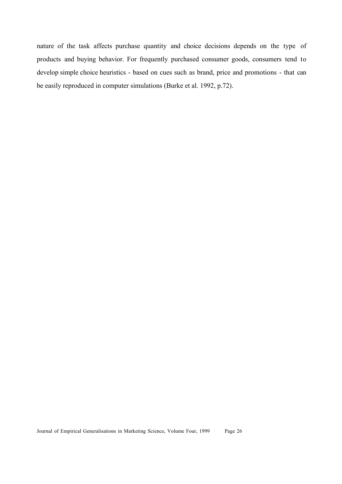nature of the task affects purchase quantity and choice decisions depends on the type of products and buying behavior. For frequently purchased consumer goods, consumers tend to develop simple choice heuristics - based on cues such as brand, price and promotions - that can be easily reproduced in computer simulations (Burke et al. 1992, p.72).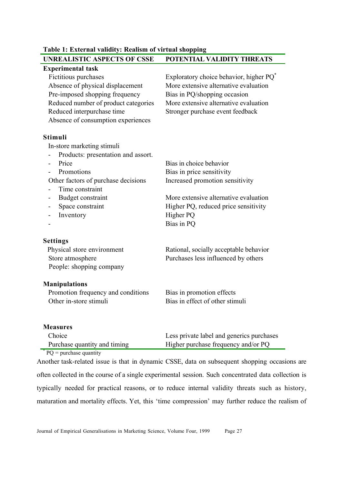| <b>UNREALISTIC ASPECTS OF CSSE</b>   | POTENTIAL VALIDITY THREATS                          |
|--------------------------------------|-----------------------------------------------------|
| <b>Experimental task</b>             |                                                     |
| Fictitious purchases                 | Exploratory choice behavior, higher PQ <sup>*</sup> |
| Absence of physical displacement     | More extensive alternative evaluation               |
| Pre-imposed shopping frequency       | Bias in PQ/shopping occasion                        |
| Reduced number of product categories | More extensive alternative evaluation               |
| Reduced interpurchase time           | Stronger purchase event feedback                    |
| Absence of consumption experiences   |                                                     |
| <b>Stimuli</b>                       |                                                     |
| In-store marketing stimuli           |                                                     |
| Products: presentation and assort.   |                                                     |
| Price                                | Bias in choice behavior                             |
| Promotions                           | Bias in price sensitivity                           |
| Other factors of purchase decisions  | Increased promotion sensitivity                     |
| Time constraint                      |                                                     |
| Budget constraint                    | More extensive alternative evaluation               |
| Space constraint                     | Higher PQ, reduced price sensitivity                |
| Inventory                            | Higher PQ                                           |
|                                      | Bias in PQ                                          |
| <b>Settings</b>                      |                                                     |
| Physical store environment           | Rational, socially acceptable behavior              |
| Store atmosphere                     | Purchases less influenced by others                 |
| People: shopping company             |                                                     |
| <b>Manipulations</b>                 |                                                     |
| Promotion frequency and conditions   | Bias in promotion effects                           |
| Other in-store stimuli               | Bias in effect of other stimuli                     |
| <b>Measures</b>                      |                                                     |
|                                      |                                                     |

**Table 1: External validity: Realism of virtual shopping**

Choice Purchase quantity and timing Less private label and generics purchases Higher purchase frequency and/or PQ \*  $PQ =$  purchase quantity

Another task-related issue is that in dynamic CSSE, data on subsequent shopping occasions are often collected in the course of a single experimental session. Such concentrated data collection is typically needed for practical reasons, or to reduce internal validity threats such as history, maturation and mortality effects. Yet, this 'time compression' may further reduce the realism of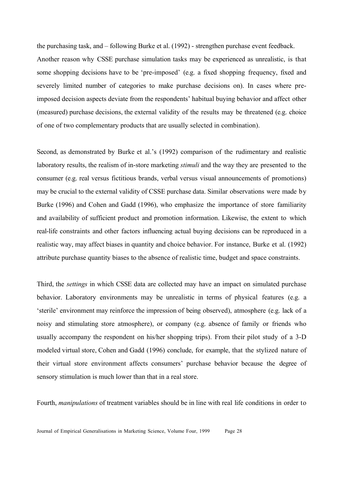the purchasing task, and – following Burke et al. (1992) - strengthen purchase event feedback. Another reason why CSSE purchase simulation tasks may be experienced as unrealistic, is that some shopping decisions have to be 'pre-imposed' (e.g. a fixed shopping frequency, fixed and severely limited number of categories to make purchase decisions on). In cases where preimposed decision aspects deviate from the respondents' habitual buying behavior and affect other (measured) purchase decisions, the external validity of the results may be threatened (e.g. choice of one of two complementary products that are usually selected in combination).

Second, as demonstrated by Burke et al.'s (1992) comparison of the rudimentary and realistic laboratory results, the realism of in-store marketing *stimuli* and the way they are presented to the consumer (e.g. real versus fictitious brands, verbal versus visual announcements of promotions) may be crucial to the external validity of CSSE purchase data. Similar observations were made by Burke (1996) and Cohen and Gadd (1996), who emphasize the importance of store familiarity and availability of sufficient product and promotion information. Likewise, the extent to which real-life constraints and other factors influencing actual buying decisions can be reproduced in a realistic way, may affect biases in quantity and choice behavior. For instance, Burke et al. (1992) attribute purchase quantity biases to the absence of realistic time, budget and space constraints.

Third, the *settings* in which CSSE data are collected may have an impact on simulated purchase behavior. Laboratory environments may be unrealistic in terms of physical features (e.g. a 'sterile' environment may reinforce the impression of being observed), atmosphere (e.g. lack of a noisy and stimulating store atmosphere), or company (e.g. absence of family or friends who usually accompany the respondent on his/her shopping trips). From their pilot study of a 3-D modeled virtual store, Cohen and Gadd (1996) conclude, for example, that the stylized nature of their virtual store environment affects consumers' purchase behavior because the degree of sensory stimulation is much lower than that in a real store.

Fourth, *manipulations* of treatment variables should be in line with real life conditions in order to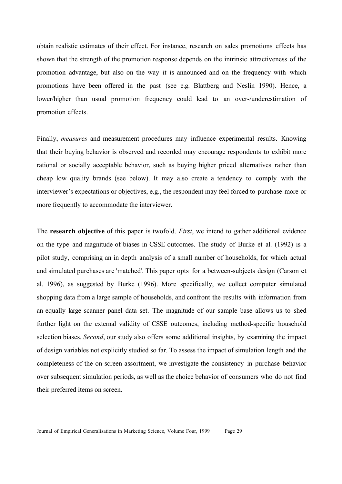obtain realistic estimates of their effect. For instance, research on sales promotions effects has shown that the strength of the promotion response depends on the intrinsic attractiveness of the promotion advantage, but also on the way it is announced and on the frequency with which promotions have been offered in the past (see e.g. Blattberg and Neslin 1990). Hence, a lower/higher than usual promotion frequency could lead to an over-/underestimation of promotion effects.

Finally, *measures* and measurement procedures may influence experimental results. Knowing that their buying behavior is observed and recorded may encourage respondents to exhibit more rational or socially acceptable behavior, such as buying higher priced alternatives rather than cheap low quality brands (see below). It may also create a tendency to comply with the interviewer's expectations or objectives, e.g., the respondent may feel forced to purchase more or more frequently to accommodate the interviewer.

The **research objective** of this paper is twofold. *First*, we intend to gather additional evidence on the type and magnitude of biases in CSSE outcomes. The study of Burke et al. (1992) is a pilot study, comprising an in depth analysis of a small number of households, for which actual and simulated purchases are 'matched'. This paper opts for a between-subjects design (Carson et al. 1996), as suggested by Burke (1996). More specifically, we collect computer simulated shopping data from a large sample of households, and confront the results with information from an equally large scanner panel data set. The magnitude of our sample base allows us to shed further light on the external validity of CSSE outcomes, including method-specific household selection biases. *Second*, our study also offers some additional insights, by examining the impact of design variables not explicitly studied so far. To assess the impact of simulation length and the completeness of the on-screen assortment, we investigate the consistency in purchase behavior over subsequent simulation periods, as well as the choice behavior of consumers who do not find their preferred items on screen.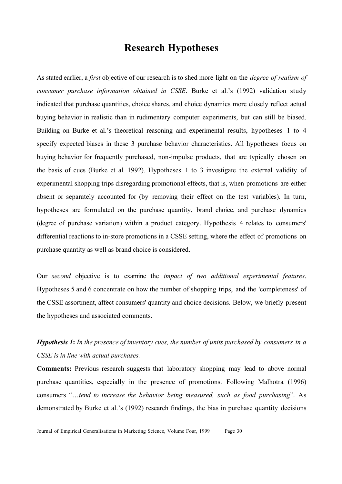## **Research Hypotheses**

As stated earlier, a *first* objective of our research is to shed more light on the *degree of realism of consumer purchase information obtained in CSSE*. Burke et al.'s (1992) validation study indicated that purchase quantities, choice shares, and choice dynamics more closely reflect actual buying behavior in realistic than in rudimentary computer experiments, but can still be biased. Building on Burke et al.'s theoretical reasoning and experimental results, hypotheses 1 to 4 specify expected biases in these 3 purchase behavior characteristics. All hypotheses focus on buying behavior for frequently purchased, non-impulse products, that are typically chosen on the basis of cues (Burke et al. 1992). Hypotheses 1 to 3 investigate the external validity of experimental shopping trips disregarding promotional effects, that is, when promotions are either absent or separately accounted for (by removing their effect on the test variables). In turn, hypotheses are formulated on the purchase quantity, brand choice, and purchase dynamics (degree of purchase variation) within a product category. Hypothesis 4 relates to consumers' differential reactions to in-store promotions in a CSSE setting, where the effect of promotions on purchase quantity as well as brand choice is considered.

Our *second* objective is to examine the *impact of two additional experimental features*. Hypotheses 5 and 6 concentrate on how the number of shopping trips, and the 'completeness' of the CSSE assortment, affect consumers' quantity and choice decisions. Below, we briefly present the hypotheses and associated comments.

## *Hypothesis 1***:** *In the presence of inventory cues, the number of units purchased by consumers in a CSSE is in line with actual purchases.*

**Comments:** Previous research suggests that laboratory shopping may lead to above normal purchase quantities, especially in the presence of promotions. Following Malhotra (1996) consumers "…*tend to increase the behavior being measured, such as food purchasing*". As demonstrated by Burke et al.'s (1992) research findings, the bias in purchase quantity decisions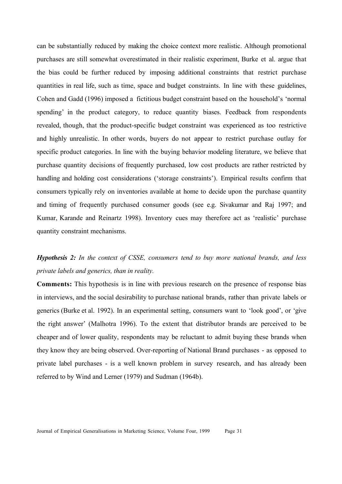can be substantially reduced by making the choice context more realistic. Although promotional purchases are still somewhat overestimated in their realistic experiment, Burke et al. argue that the bias could be further reduced by imposing additional constraints that restrict purchase quantities in real life, such as time, space and budget constraints. In line with these guidelines, Cohen and Gadd (1996) imposed a fictitious budget constraint based on the household's 'normal spending' in the product category, to reduce quantity biases. Feedback from respondents revealed, though, that the product-specific budget constraint was experienced as too restrictive and highly unrealistic. In other words, buyers do not appear to restrict purchase outlay for specific product categories. In line with the buying behavior modeling literature, we believe that purchase quantity decisions of frequently purchased, low cost products are rather restricted by handling and holding cost considerations ('storage constraints'). Empirical results confirm that consumers typically rely on inventories available at home to decide upon the purchase quantity and timing of frequently purchased consumer goods (see e.g. Sivakumar and Raj 1997; and Kumar, Karande and Reinartz 1998). Inventory cues may therefore act as 'realistic' purchase quantity constraint mechanisms.

## *Hypothesis 2: In the context of CSSE, consumers tend to buy more national brands, and less private labels and generics, than in reality.*

**Comments:** This hypothesis is in line with previous research on the presence of response bias in interviews, and the social desirability to purchase national brands, rather than private labels or generics (Burke et al. 1992). In an experimental setting, consumers want to 'look good', or 'give the right answer' (Malhotra 1996). To the extent that distributor brands are perceived to be cheaper and of lower quality, respondents may be reluctant to admit buying these brands when they know they are being observed. Over-reporting of National Brand purchases - as opposed to private label purchases - is a well known problem in survey research, and has already been referred to by Wind and Lerner (1979) and Sudman (1964b).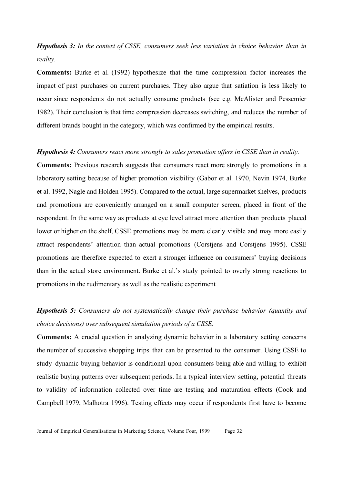*Hypothesis 3: In the context of CSSE, consumers seek less variation in choice behavior than in reality.*

**Comments:** Burke et al. (1992) hypothesize that the time compression factor increases the impact of past purchases on current purchases. They also argue that satiation is less likely to occur since respondents do not actually consume products (see e.g. McAlister and Pessemier 1982). Their conclusion is that time compression decreases switching, and reduces the number of different brands bought in the category, which was confirmed by the empirical results.

#### *Hypothesis 4: Consumers react more strongly to sales promotion offers in CSSE than in reality.*

**Comments:** Previous research suggests that consumers react more strongly to promotions in a laboratory setting because of higher promotion visibility (Gabor et al. 1970, Nevin 1974, Burke et al. 1992, Nagle and Holden 1995). Compared to the actual, large supermarket shelves, products and promotions are conveniently arranged on a small computer screen, placed in front of the respondent. In the same way as products at eye level attract more attention than products placed lower or higher on the shelf, CSSE promotions may be more clearly visible and may more easily attract respondents' attention than actual promotions (Corstjens and Corstjens 1995). CSSE promotions are therefore expected to exert a stronger influence on consumers' buying decisions than in the actual store environment. Burke et al.'s study pointed to overly strong reactions to promotions in the rudimentary as well as the realistic experiment

## *Hypothesis 5: Consumers do not systematically change their purchase behavior (quantity and choice decisions) over subsequent simulation periods of a CSSE.*

**Comments:** A crucial question in analyzing dynamic behavior in a laboratory setting concerns the number of successive shopping trips that can be presented to the consumer. Using CSSE to study dynamic buying behavior is conditional upon consumers being able and willing to exhibit realistic buying patterns over subsequent periods. In a typical interview setting, potential threats to validity of information collected over time are testing and maturation effects (Cook and Campbell 1979, Malhotra 1996). Testing effects may occur if respondents first have to become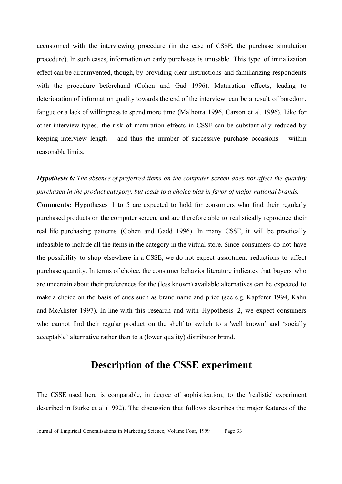accustomed with the interviewing procedure (in the case of CSSE, the purchase simulation procedure). In such cases, information on early purchases is unusable. This type of initialization effect can be circumvented, though, by providing clear instructions and familiarizing respondents with the procedure beforehand (Cohen and Gad 1996). Maturation effects, leading to deterioration of information quality towards the end of the interview, can be a result of boredom, fatigue or a lack of willingness to spend more time (Malhotra 1996, Carson et al. 1996). Like for other interview types, the risk of maturation effects in CSSE can be substantially reduced by keeping interview length – and thus the number of successive purchase occasions – within reasonable limits.

## *Hypothesis 6: The absence of preferred items on the computer screen does not affect the quantity purchased in the product category, but leads to a choice bias in favor of major national brands.*

**Comments:** Hypotheses 1 to 5 are expected to hold for consumers who find their regularly purchased products on the computer screen, and are therefore able to realistically reproduce their real life purchasing patterns (Cohen and Gadd 1996). In many CSSE, it will be practically infeasible to include all the items in the category in the virtual store. Since consumers do not have the possibility to shop elsewhere in a CSSE, we do not expect assortment reductions to affect purchase quantity. In terms of choice, the consumer behavior literature indicates that buyers who are uncertain about their preferences for the (less known) available alternatives can be expected to make a choice on the basis of cues such as brand name and price (see e.g. Kapferer 1994, Kahn and McAlister 1997). In line with this research and with Hypothesis 2, we expect consumers who cannot find their regular product on the shelf to switch to a 'well known' and 'socially acceptable' alternative rather than to a (lower quality) distributor brand.

## **Description of the CSSE experiment**

The CSSE used here is comparable, in degree of sophistication, to the 'realistic' experiment described in Burke et al (1992). The discussion that follows describes the major features of the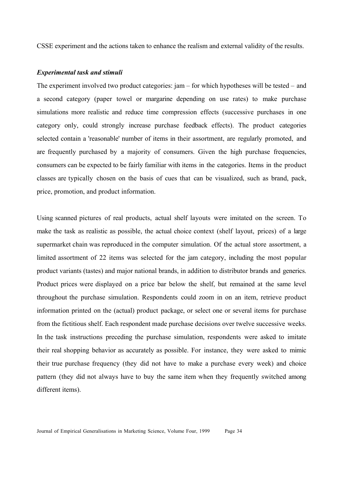CSSE experiment and the actions taken to enhance the realism and external validity of the results.

#### *Experimental task and stimuli*

The experiment involved two product categories: jam – for which hypotheses will be tested – and a second category (paper towel or margarine depending on use rates) to make purchase simulations more realistic and reduce time compression effects (successive purchases in one category only, could strongly increase purchase feedback effects). The product categories selected contain a 'reasonable' number of items in their assortment, are regularly promoted, and are frequently purchased by a majority of consumers. Given the high purchase frequencies, consumers can be expected to be fairly familiar with items in the categories. Items in the product classes are typically chosen on the basis of cues that can be visualized, such as brand, pack, price, promotion, and product information.

Using scanned pictures of real products, actual shelf layouts were imitated on the screen. To make the task as realistic as possible, the actual choice context (shelf layout, prices) of a large supermarket chain was reproduced in the computer simulation. Of the actual store assortment, a limited assortment of 22 items was selected for the jam category, including the most popular product variants (tastes) and major national brands, in addition to distributor brands and generics. Product prices were displayed on a price bar below the shelf, but remained at the same level throughout the purchase simulation. Respondents could zoom in on an item, retrieve product information printed on the (actual) product package, or select one or several items for purchase from the fictitious shelf. Each respondent made purchase decisions over twelve successive weeks. In the task instructions preceding the purchase simulation, respondents were asked to imitate their real shopping behavior as accurately as possible. For instance, they were asked to mimic their true purchase frequency (they did not have to make a purchase every week) and choice pattern (they did not always have to buy the same item when they frequently switched among different items).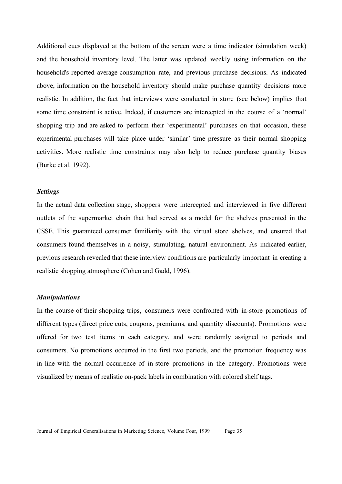Additional cues displayed at the bottom of the screen were a time indicator (simulation week) and the household inventory level. The latter was updated weekly using information on the household's reported average consumption rate, and previous purchase decisions. As indicated above, information on the household inventory should make purchase quantity decisions more realistic. In addition, the fact that interviews were conducted in store (see below) implies that some time constraint is active. Indeed, if customers are intercepted in the course of a 'normal' shopping trip and are asked to perform their 'experimental' purchases on that occasion, these experimental purchases will take place under 'similar' time pressure as their normal shopping activities. More realistic time constraints may also help to reduce purchase quantity biases (Burke et al. 1992).

#### *Settings*

In the actual data collection stage, shoppers were intercepted and interviewed in five different outlets of the supermarket chain that had served as a model for the shelves presented in the CSSE. This guaranteed consumer familiarity with the virtual store shelves, and ensured that consumers found themselves in a noisy, stimulating, natural environment. As indicated earlier, previous research revealed that these interview conditions are particularly important in creating a realistic shopping atmosphere (Cohen and Gadd, 1996).

#### *Manipulations*

In the course of their shopping trips, consumers were confronted with in-store promotions of different types (direct price cuts, coupons, premiums, and quantity discounts). Promotions were offered for two test items in each category, and were randomly assigned to periods and consumers. No promotions occurred in the first two periods, and the promotion frequency was in line with the normal occurrence of in-store promotions in the category. Promotions were visualized by means of realistic on-pack labels in combination with colored shelf tags.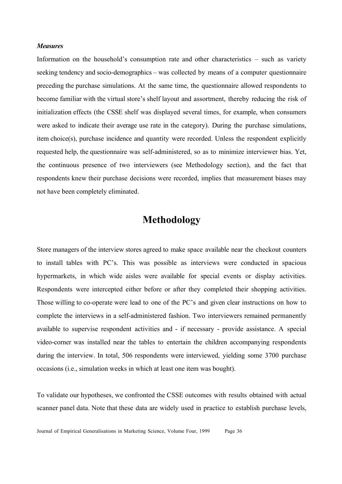#### *Measures*

Information on the household's consumption rate and other characteristics – such as variety seeking tendency and socio-demographics – was collected by means of a computer questionnaire preceding the purchase simulations. At the same time, the questionnaire allowed respondents to become familiar with the virtual store's shelf layout and assortment, thereby reducing the risk of initialization effects (the CSSE shelf was displayed several times, for example, when consumers were asked to indicate their average use rate in the category). During the purchase simulations, item choice(s), purchase incidence and quantity were recorded. Unless the respondent explicitly requested help, the questionnaire was self-administered, so as to minimize interviewer bias. Yet, the continuous presence of two interviewers (see Methodology section), and the fact that respondents knew their purchase decisions were recorded, implies that measurement biases may not have been completely eliminated.

## **Methodology**

Store managers of the interview stores agreed to make space available near the checkout counters to install tables with PC's. This was possible as interviews were conducted in spacious hypermarkets, in which wide aisles were available for special events or display activities. Respondents were intercepted either before or after they completed their shopping activities. Those willing to co-operate were lead to one of the PC's and given clear instructions on how to complete the interviews in a self-administered fashion. Two interviewers remained permanently available to supervise respondent activities and - if necessary - provide assistance. A special video-corner was installed near the tables to entertain the children accompanying respondents during the interview. In total, 506 respondents were interviewed, yielding some 3700 purchase occasions (i.e., simulation weeks in which at least one item was bought).

To validate our hypotheses, we confronted the CSSE outcomes with results obtained with actual scanner panel data. Note that these data are widely used in practice to establish purchase levels,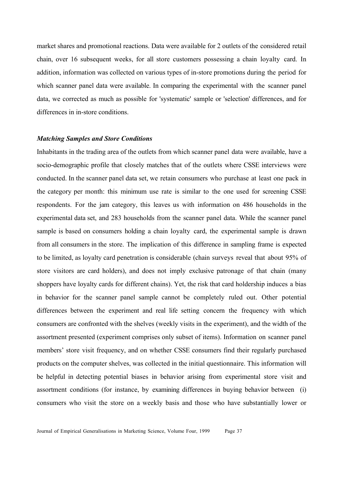market shares and promotional reactions. Data were available for 2 outlets of the considered retail chain, over 16 subsequent weeks, for all store customers possessing a chain loyalty card. In addition, information was collected on various types of in-store promotions during the period for which scanner panel data were available. In comparing the experimental with the scanner panel data, we corrected as much as possible for 'systematic' sample or 'selection' differences, and for differences in in-store conditions.

#### *Matching Samples and Store Conditions*

Inhabitants in the trading area of the outlets from which scanner panel data were available, have a socio-demographic profile that closely matches that of the outlets where CSSE interviews were conducted. In the scanner panel data set, we retain consumers who purchase at least one pack in the category per month: this minimum use rate is similar to the one used for screening CSSE respondents. For the jam category, this leaves us with information on 486 households in the experimental data set, and 283 households from the scanner panel data. While the scanner panel sample is based on consumers holding a chain loyalty card, the experimental sample is drawn from all consumers in the store. The implication of this difference in sampling frame is expected to be limited, as loyalty card penetration is considerable (chain surveys reveal that about 95% of store visitors are card holders), and does not imply exclusive patronage of that chain (many shoppers have loyalty cards for different chains). Yet, the risk that card holdership induces a bias in behavior for the scanner panel sample cannot be completely ruled out. Other potential differences between the experiment and real life setting concern the frequency with which consumers are confronted with the shelves (weekly visits in the experiment), and the width of the assortment presented (experiment comprises only subset of items). Information on scanner panel members' store visit frequency, and on whether CSSE consumers find their regularly purchased products on the computer shelves, was collected in the initial questionnaire. This information will be helpful in detecting potential biases in behavior arising from experimental store visit and assortment conditions (for instance, by examining differences in buying behavior between (i) consumers who visit the store on a weekly basis and those who have substantially lower or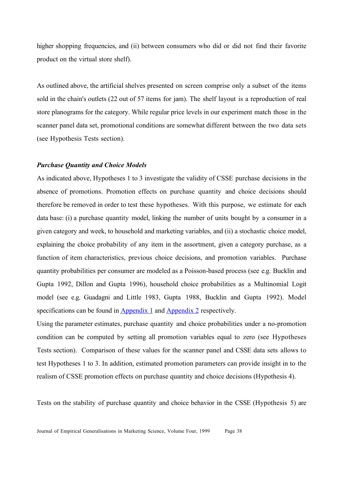higher shopping frequencies, and (ii) between consumers who did or did not find their favorite product on the virtual store shelf).

As outlined above, the artificial shelves presented on screen comprise only a subset of the items sold in the chain's outlets (22 out of 57 items for jam). The shelf layout is a reproduction of real store planograms for the category. While regular price levels in our experiment match those in the scanner panel data set, promotional conditions are somewhat different between the two data sets (see Hypothesis Tests section).

#### *Purchase Quantity and Choice Models*

As indicated above, Hypotheses 1 to 3 investigate the validity of CSSE purchase decisions in the absence of promotions. Promotion effects on purchase quantity and choice decisions should therefore be removed in order to test these hypotheses. With this purpose, we estimate for each data base: (i) a purchase quantity model, linking the number of units bought by a consumer in a given category and week, to household and marketing variables, and (ii) a stochastic choice model, explaining the choice probability of any item in the assortment, given a category purchase, as a function of item characteristics, previous choice decisions, and promotion variables. Purchase quantity probabilities per consumer are modeled as a Poisson-based process (see e.g. Bucklin and Gupta 1992, Dillon and Gupta 1996), household choice probabilities as a Multinomial Logit model (see e.g. Guadagni and Little 1983, Gupta 1988, Bucklin and Gupta 1992). Model specifications can be found in **Appendix 1** and **Appendix 2** respectively.

Using the parameter estimates, purchase quantity and choice probabilities under a no-promotion condition can be computed by setting all promotion variables equal to zero (see Hypotheses Tests section). Comparison of these values for the scanner panel and CSSE data sets allows to test Hypotheses 1 to 3. In addition, estimated promotion parameters can provide insight in to the realism of CSSE promotion effects on purchase quantity and choice decisions (Hypothesis 4).

Tests on the stability of purchase quantity and choice behavior in the CSSE (Hypothesis 5) are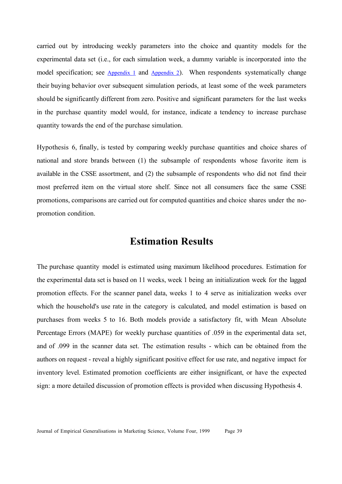carried out by introducing weekly parameters into the choice and quantity models for the experimental data set (i.e., for each simulation week, a dummy variable is incorporated into the model specification; see Appendix 1 and Appendix 2). When respondents systematically change their buying behavior over subsequent simulation periods, at least some of the week parameters should be significantly different from zero. Positive and significant parameters for the last weeks in the purchase quantity model would, for instance, indicate a tendency to increase purchase quantity towards the end of the purchase simulation.

Hypothesis 6, finally, is tested by comparing weekly purchase quantities and choice shares of national and store brands between (1) the subsample of respondents whose favorite item is available in the CSSE assortment, and (2) the subsample of respondents who did not find their most preferred item on the virtual store shelf. Since not all consumers face the same CSSE promotions, comparisons are carried out for computed quantities and choice shares under the nopromotion condition.

## **Estimation Results**

The purchase quantity model is estimated using maximum likelihood procedures. Estimation for the experimental data set is based on 11 weeks, week 1 being an initialization week for the lagged promotion effects. For the scanner panel data, weeks 1 to 4 serve as initialization weeks over which the household's use rate in the category is calculated, and model estimation is based on purchases from weeks 5 to 16. Both models provide a satisfactory fit, with Mean Absolute Percentage Errors (MAPE) for weekly purchase quantities of .059 in the experimental data set, and of .099 in the scanner data set. The estimation results - which can be obtained from the authors on request - reveal a highly significant positive effect for use rate, and negative impact for inventory level. Estimated promotion coefficients are either insignificant, or have the expected sign: a more detailed discussion of promotion effects is provided when discussing Hypothesis 4.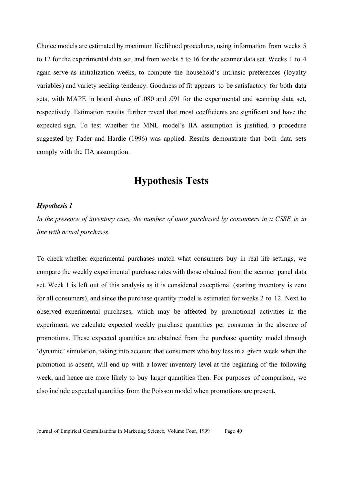Choice models are estimated by maximum likelihood procedures, using information from weeks 5 to 12 for the experimental data set, and from weeks 5 to 16 for the scanner data set. Weeks 1 to 4 again serve as initialization weeks, to compute the household's intrinsic preferences (loyalty variables) and variety seeking tendency. Goodness of fit appears to be satisfactory for both data sets, with MAPE in brand shares of .080 and .091 for the experimental and scanning data set, respectively. Estimation results further reveal that most coefficients are significant and have the expected sign. To test whether the MNL model's IIA assumption is justified, a procedure suggested by Fader and Hardie (1996) was applied. Results demonstrate that both data sets comply with the IIA assumption.

## **Hypothesis Tests**

#### *Hypothesis 1*

*In the presence of inventory cues, the number of units purchased by consumers in a CSSE is in line with actual purchases.*

To check whether experimental purchases match what consumers buy in real life settings, we compare the weekly experimental purchase rates with those obtained from the scanner panel data set. Week 1 is left out of this analysis as it is considered exceptional (starting inventory is zero for all consumers), and since the purchase quantity model is estimated for weeks 2 to 12. Next to observed experimental purchases, which may be affected by promotional activities in the experiment, we calculate expected weekly purchase quantities per consumer in the absence of promotions. These expected quantities are obtained from the purchase quantity model through 'dynamic' simulation, taking into account that consumers who buy less in a given week when the promotion is absent, will end up with a lower inventory level at the beginning of the following week, and hence are more likely to buy larger quantities then. For purposes of comparison, we also include expected quantities from the Poisson model when promotions are present.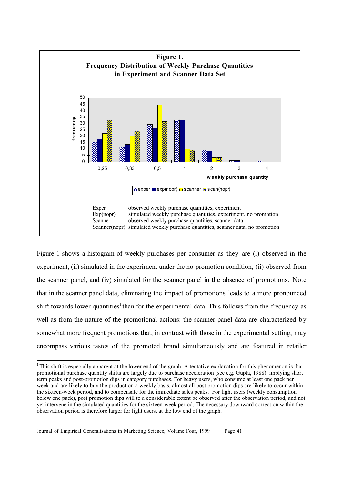

Figure 1 shows a histogram of weekly purchases per consumer as they are (i) observed in the experiment, (ii) simulated in the experiment under the no-promotion condition, (ii) observed from the scanner panel, and (iv) simulated for the scanner panel in the absence of promotions. Note that in the scanner panel data, eliminating the impact of promotions leads to a more pronounced shift towards lower quantities<sup>1</sup> than for the experimental data. This follows from the frequency as well as from the nature of the promotional actions: the scanner panel data are characterized by somewhat more frequent promotions that, in contrast with those in the experimental setting, may encompass various tastes of the promoted brand simultaneously and are featured in retailer

 $\overline{a}$  $1$ <sup>1</sup> This shift is especially apparent at the lower end of the graph. A tentative explanation for this phenomenon is that promotional purchase quantity shifts are largely due to purchase acceleration (see e.g. Gupta, 1988), implying short term peaks and post-promotion dips in category purchases. For heavy users, who consume at least one pack per week and are likely to buy the product on a weekly basis, almost all post promotion dips are likely to occur within the sixteen-week period, and to compensate for the immediate sales peaks. For light users (weekly consumption below one pack), post promotion dips will to a considerable extent be observed after the observation period, and not yet intervene in the simulated quantities for the sixteen-week period. The necessary downward correction within the observation period is therefore larger for light users, at the low end of the graph.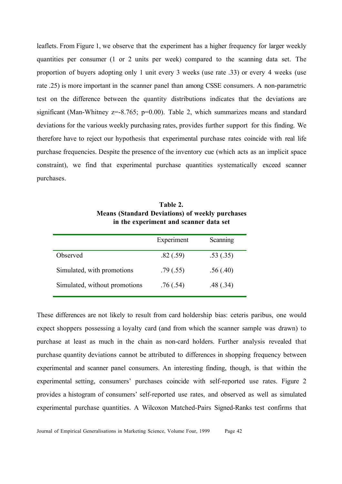leaflets. From Figure 1, we observe that the experiment has a higher frequency for larger weekly quantities per consumer (1 or 2 units per week) compared to the scanning data set. The proportion of buyers adopting only 1 unit every 3 weeks (use rate .33) or every 4 weeks (use rate .25) is more important in the scanner panel than among CSSE consumers. A non-parametric test on the difference between the quantity distributions indicates that the deviations are significant (Man-Whitney  $z=8.765$ ;  $p=0.00$ ). Table 2, which summarizes means and standard deviations for the various weekly purchasing rates, provides further support for this finding. We therefore have to reject our hypothesis that experimental purchase rates coincide with real life purchase frequencies. Despite the presence of the inventory cue (which acts as an implicit space constraint), we find that experimental purchase quantities systematically exceed scanner purchases.

|                               | Experiment | Scanning |
|-------------------------------|------------|----------|
| Observed                      | .82(.59)   | .53(.35) |
| Simulated, with promotions    | .79(.55)   | .56(.40) |
| Simulated, without promotions | .76(.54)   | .48(.34) |

**Table 2. Means (Standard Deviations) of weekly purchases in the experiment and scanner data set**

These differences are not likely to result from card holdership bias: ceteris paribus, one would expect shoppers possessing a loyalty card (and from which the scanner sample was drawn) to purchase at least as much in the chain as non-card holders. Further analysis revealed that purchase quantity deviations cannot be attributed to differences in shopping frequency between experimental and scanner panel consumers. An interesting finding, though, is that within the experimental setting, consumers' purchases coincide with self-reported use rates. Figure 2 provides a histogram of consumers' self-reported use rates, and observed as well as simulated experimental purchase quantities. A Wilcoxon Matched-Pairs Signed-Ranks test confirms that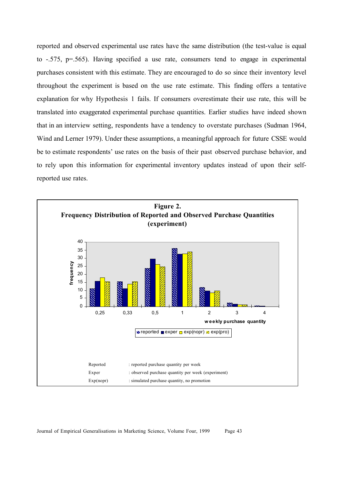reported and observed experimental use rates have the same distribution (the test-value is equal to -.575, p=.565). Having specified a use rate, consumers tend to engage in experimental purchases consistent with this estimate. They are encouraged to do so since their inventory level throughout the experiment is based on the use rate estimate. This finding offers a tentative explanation for why Hypothesis 1 fails. If consumers overestimate their use rate, this will be translated into exaggerated experimental purchase quantities. Earlier studies have indeed shown that in an interview setting, respondents have a tendency to overstate purchases (Sudman 1964, Wind and Lerner 1979). Under these assumptions, a meaningful approach for future CSSE would be to estimate respondents' use rates on the basis of their past observed purchase behavior, and to rely upon this information for experimental inventory updates instead of upon their selfreported use rates.

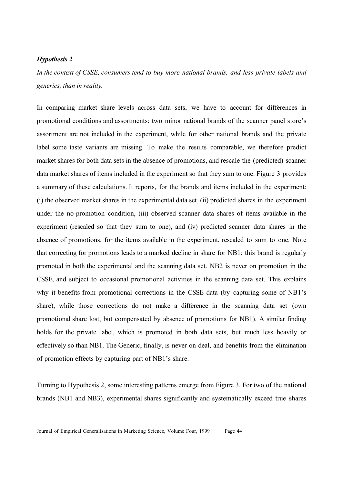#### *Hypothesis 2*

*In the context of CSSE, consumers tend to buy more national brands, and less private labels and generics, than in reality.*

In comparing market share levels across data sets, we have to account for differences in promotional conditions and assortments: two minor national brands of the scanner panel store's assortment are not included in the experiment, while for other national brands and the private label some taste variants are missing. To make the results comparable, we therefore predict market shares for both data sets in the absence of promotions, and rescale the (predicted) scanner data market shares of items included in the experiment so that they sum to one. Figure 3 provides a summary of these calculations. It reports, for the brands and items included in the experiment: (i) the observed market shares in the experimental data set, (ii) predicted shares in the experiment under the no-promotion condition, (iii) observed scanner data shares of items available in the experiment (rescaled so that they sum to one), and (iv) predicted scanner data shares in the absence of promotions, for the items available in the experiment, rescaled to sum to one. Note that correcting for promotions leads to a marked decline in share for NB1: this brand is regularly promoted in both the experimental and the scanning data set. NB2 is never on promotion in the CSSE, and subject to occasional promotional activities in the scanning data set. This explains why it benefits from promotional corrections in the CSSE data (by capturing some of NB1's share), while those corrections do not make a difference in the scanning data set (own promotional share lost, but compensated by absence of promotions for NB1). A similar finding holds for the private label, which is promoted in both data sets, but much less heavily or effectively so than NB1. The Generic, finally, is never on deal, and benefits from the elimination of promotion effects by capturing part of NB1's share.

Turning to Hypothesis 2, some interesting patterns emerge from Figure 3. For two of the national brands (NB1 and NB3), experimental shares significantly and systematically exceed true shares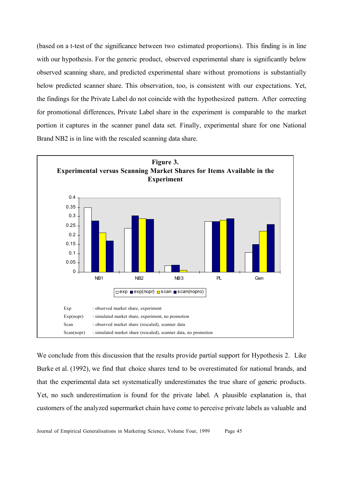(based on a t-test of the significance between two estimated proportions). This finding is in line with our hypothesis. For the generic product, observed experimental share is significantly below observed scanning share, and predicted experimental share without promotions is substantially below predicted scanner share. This observation, too, is consistent with our expectations. Yet, the findings for the Private Label do not coincide with the hypothesized pattern. After correcting for promotional differences, Private Label share in the experiment is comparable to the market portion it captures in the scanner panel data set. Finally, experimental share for one National Brand NB2 is in line with the rescaled scanning data share.



We conclude from this discussion that the results provide partial support for Hypothesis 2. Like Burke et al. (1992), we find that choice shares tend to be overestimated for national brands, and that the experimental data set systematically underestimates the true share of generic products. Yet, no such underestimation is found for the private label. A plausible explanation is, that customers of the analyzed supermarket chain have come to perceive private labels as valuable and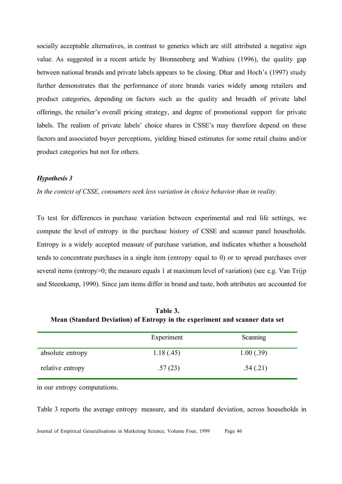socially acceptable alternatives, in contrast to generics which are still attributed a negative sign value. As suggested in a recent article by Bronnenberg and Wathieu (1996), the quality gap between national brands and private labels appears to be closing. Dhar and Hoch's (1997) study further demonstrates that the performance of store brands varies widely among retailers and product categories, depending on factors such as the quality and breadth of private label offerings, the retailer's overall pricing strategy, and degree of promotional support for private labels. The realism of private labels' choice shares in CSSE's may therefore depend on these factors and associated buyer perceptions, yielding biased estimates for some retail chains and/or product categories but not for others.

#### *Hypothesis 3*

*In the context of CSSE, consumers seek less variation in choice behavior than in reality.*

To test for differences in purchase variation between experimental and real life settings, we compute the level of entropy in the purchase history of CSSE and scanner panel households. Entropy is a widely accepted measure of purchase variation, and indicates whether a household tends to concentrate purchases in a single item (entropy equal to 0) or to spread purchases over several items (entropy>0; the measure equals 1 at maximum level of variation) (see e.g. Van Trijp and Steenkamp, 1990). Since jam items differ in brand and taste, both attributes are accounted for

| Table 3.                                                                    |  |
|-----------------------------------------------------------------------------|--|
| Mean (Standard Deviation) of Entropy in the experiment and scanner data set |  |

|                  | Experiment | Scanning  |
|------------------|------------|-----------|
| absolute entropy | 1.18(0.45) | 1.00(.39) |
| relative entropy | .57(23)    | .54(.21)  |

in our entropy computations.

Table 3 reports the average entropy measure, and its standard deviation, across households in

Journal of Empirical Generalisations in Marketing Science, Volume Four, 1999 Page 46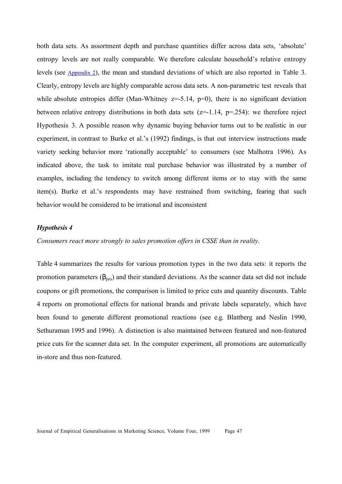both data sets. As assortment depth and purchase quantities differ across data sets, 'absolute' entropy levels are not really comparable. We therefore calculate household's relative entropy levels (see Appendix 2), the mean and standard deviations of which are also reported in Table 3. Clearly, entropy levels are highly comparable across data sets. A non-parametric test reveals that while absolute entropies differ (Man-Whitney  $z=5.14$ ,  $p=0$ ), there is no significant deviation between relative entropy distributions in both data sets  $(z=1.14, p=.254)$ : we therefore reject Hypothesis 3. A possible reason why dynamic buying behavior turns out to be realistic in our experiment, in contrast to Burke et al.'s (1992) findings, is that out interview instructions made variety seeking behavior more 'rationally acceptable' to consumers (see Malhotra 1996). As indicated above, the task to imitate real purchase behavior was illustrated by a number of examples, including the tendency to switch among different items or to stay with the same item(s). Burke et al.'s respondents may have restrained from switching, fearing that such behavior would be considered to be irrational and inconsistent

#### *Hypothesis 4*

*Consumers react more strongly to sales promotion offers in CSSE than in reality.*

Table 4 summarizes the results for various promotion types in the two data sets: it reports the promotion parameters  $(\beta_{\text{pro}})$  and their standard deviations. As the scanner data set did not include coupons or gift promotions, the comparison is limited to price cuts and quantity discounts. Table 4 reports on promotional effects for national brands and private labels separately, which have been found to generate different promotional reactions (see e.g. Blattberg and Neslin 1990, Sethuraman 1995 and 1996). A distinction is also maintained between featured and non-featured price cuts for the scanner data set. In the computer experiment, all promotions are automatically in-store and thus non-featured.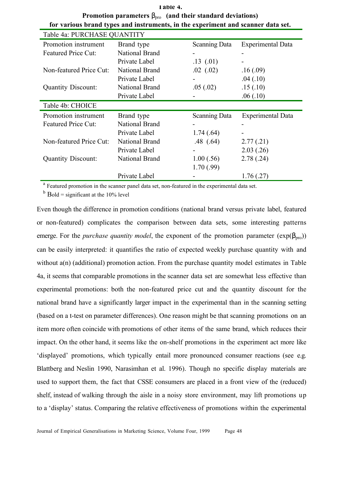| $\Gamma$ romotion parameters $p_{\text{prop}}$ (and their standard deviations)   |                       |                      |                          |
|----------------------------------------------------------------------------------|-----------------------|----------------------|--------------------------|
| for various brand types and instruments, in the experiment and scanner data set. |                       |                      |                          |
| Table 4a: PURCHASE QUANTITY                                                      |                       |                      |                          |
| Promotion instrument                                                             | Brand type            | <b>Scanning Data</b> | <b>Experimental Data</b> |
| Featured Price Cut:                                                              | <b>National Brand</b> |                      |                          |
|                                                                                  | Private Label         | .13(01)              |                          |
| Non-featured Price Cut:                                                          | <b>National Brand</b> | $.02$ $(.02)$        | .16(.09)                 |
|                                                                                  | Private Label         |                      | .04(.10)                 |
| <b>Quantity Discount:</b>                                                        | <b>National Brand</b> | .05(.02)             | .15(.10)                 |
|                                                                                  | Private Label         |                      | .06(.10)                 |
| Table 4b: CHOICE                                                                 |                       |                      |                          |
| Promotion instrument                                                             | Brand type            | <b>Scanning Data</b> | <b>Experimental Data</b> |
| <b>Featured Price Cut:</b>                                                       | National Brand        |                      |                          |
|                                                                                  | Private Label         | 1.74(.64)            |                          |
| Non-featured Price Cut:                                                          | National Brand        | .48(.64)             | 2.77(0.21)               |
|                                                                                  | Private Label         |                      | 2.03(.26)                |
| <b>Quantity Discount:</b>                                                        | National Brand        | 1.00(.56)            | 2.78(.24)                |
|                                                                                  |                       | 1.70(.99)            |                          |
|                                                                                  | Private Label         |                      | 1.76(.27)                |

**Table 4. Promotion parameters** βpro **(and their standard deviations)**

<sup>a</sup> Featured promotion in the scanner panel data set, non-featured in the experimental data set.

 $<sup>b</sup>$  Bold = significant at the 10% level</sup>

Even though the difference in promotion conditions (national brand versus private label, featured or non-featured) complicates the comparison between data sets, some interesting patterns emerge. For the *purchase quantity model*, the exponent of the promotion parameter  $(exp(\beta_{\text{pro}}))$ can be easily interpreted: it quantifies the ratio of expected weekly purchase quantity with and without  $a(n)$  (additional) promotion action. From the purchase quantity model estimates in Table 4a, it seems that comparable promotions in the scanner data set are somewhat less effective than experimental promotions: both the non-featured price cut and the quantity discount for the national brand have a significantly larger impact in the experimental than in the scanning setting (based on a t-test on parameter differences). One reason might be that scanning promotions on an item more often coincide with promotions of other items of the same brand, which reduces their impact. On the other hand, it seems like the on-shelf promotions in the experiment act more like 'displayed' promotions, which typically entail more pronounced consumer reactions (see e.g. Blattberg and Neslin 1990, Narasimhan et al. 1996). Though no specific display materials are used to support them, the fact that CSSE consumers are placed in a front view of the (reduced) shelf, instead of walking through the aisle in a noisy store environment, may lift promotions up to a 'display' status. Comparing the relative effectiveness of promotions within the experimental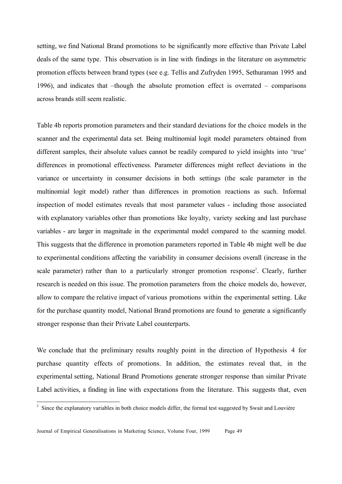setting, we find National Brand promotions to be significantly more effective than Private Label deals of the same type. This observation is in line with findings in the literature on asymmetric promotion effects between brand types (see e.g. Tellis and Zufryden 1995, Sethuraman 1995 and 1996), and indicates that –though the absolute promotion effect is overrated – comparisons across brands still seem realistic.

Table 4b reports promotion parameters and their standard deviations for the choice models in the scanner and the experimental data set. Being multinomial logit model parameters obtained from different samples, their absolute values cannot be readily compared to yield insights into 'true' differences in promotional effectiveness. Parameter differences might reflect deviations in the variance or uncertainty in consumer decisions in both settings (the scale parameter in the multinomial logit model) rather than differences in promotion reactions as such. Informal inspection of model estimates reveals that most parameter values - including those associated with explanatory variables other than promotions like loyalty, variety seeking and last purchase variables - are larger in magnitude in the experimental model compared to the scanning model. This suggests that the difference in promotion parameters reported in Table 4b might well be due to experimental conditions affecting the variability in consumer decisions overall (increase in the scale parameter) rather than to a particularly stronger promotion response<sup>2</sup>. Clearly, further research is needed on this issue. The promotion parameters from the choice models do, however, allow to compare the relative impact of various promotions within the experimental setting. Like for the purchase quantity model, National Brand promotions are found to generate a significantly stronger response than their Private Label counterparts.

We conclude that the preliminary results roughly point in the direction of Hypothesis 4 for purchase quantity effects of promotions. In addition, the estimates reveal that, in the experimental setting, National Brand Promotions generate stronger response than similar Private Label activities, a finding in line with expectations from the literature. This suggests that, even

<sup>&</sup>lt;sup>2</sup> Since the explanatory variables in both choice models differ, the formal test suggested by Swait and Louvière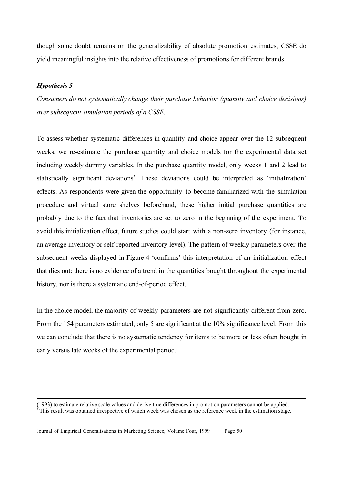though some doubt remains on the generalizability of absolute promotion estimates, CSSE do yield meaningful insights into the relative effectiveness of promotions for different brands.

#### *Hypothesis 5*

 $\overline{a}$ 

*Consumers do not systematically change their purchase behavior (quantity and choice decisions) over subsequent simulation periods of a CSSE.*

To assess whether systematic differences in quantity and choice appear over the 12 subsequent weeks, we re-estimate the purchase quantity and choice models for the experimental data set including weekly dummy variables. In the purchase quantity model, only weeks 1 and 2 lead to statistically significant deviations<sup>3</sup>. These deviations could be interpreted as 'initialization' effects. As respondents were given the opportunity to become familiarized with the simulation procedure and virtual store shelves beforehand, these higher initial purchase quantities are probably due to the fact that inventories are set to zero in the beginning of the experiment. To avoid this initialization effect, future studies could start with a non-zero inventory (for instance, an average inventory or self-reported inventory level). The pattern of weekly parameters over the subsequent weeks displayed in Figure 4 'confirms' this interpretation of an initialization effect that dies out: there is no evidence of a trend in the quantities bought throughout the experimental history, nor is there a systematic end-of-period effect.

In the choice model, the majority of weekly parameters are not significantly different from zero. From the 154 parameters estimated, only 5 are significant at the 10% significance level. From this we can conclude that there is no systematic tendency for items to be more or less often bought in early versus late weeks of the experimental period.

<sup>(1993)</sup> to estimate relative scale values and derive true differences in promotion parameters cannot be applied. This result was obtained irrespective of which week was chosen as the reference week in the estimation stage.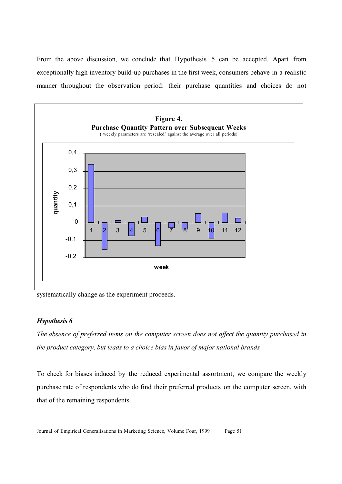From the above discussion, we conclude that Hypothesis 5 can be accepted. Apart from exceptionally high inventory build-up purchases in the first week, consumers behave in a realistic manner throughout the observation period: their purchase quantities and choices do not



systematically change as the experiment proceeds.

#### *Hypothesis 6*

*The absence of preferred items on the computer screen does not affect the quantity purchased in the product category, but leads to a choice bias in favor of major national brands*

To check for biases induced by the reduced experimental assortment, we compare the weekly purchase rate of respondents who do find their preferred products on the computer screen, with that of the remaining respondents.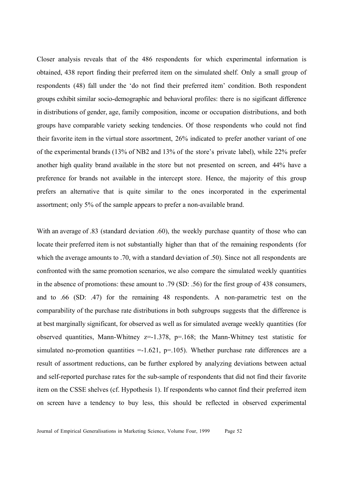Closer analysis reveals that of the 486 respondents for which experimental information is obtained, 438 report finding their preferred item on the simulated shelf. Only a small group of respondents (48) fall under the 'do not find their preferred item' condition. Both respondent groups exhibit similar socio-demographic and behavioral profiles: there is no sigificant difference in distributions of gender, age, family composition, income or occupation distributions, and both groups have comparable variety seeking tendencies. Of those respondents who could not find their favorite item in the virtual store assortment, 26% indicated to prefer another variant of one of the experimental brands (13% of NB2 and 13% of the store's private label), while 22% prefer another high quality brand available in the store but not presented on screen, and 44% have a preference for brands not available in the intercept store. Hence, the majority of this group prefers an alternative that is quite similar to the ones incorporated in the experimental assortment; only 5% of the sample appears to prefer a non-available brand.

With an average of .83 (standard deviation .60), the weekly purchase quantity of those who can locate their preferred item is not substantially higher than that of the remaining respondents (for which the average amounts to .70, with a standard deviation of .50). Since not all respondents are confronted with the same promotion scenarios, we also compare the simulated weekly quantities in the absence of promotions: these amount to .79 (SD: .56) for the first group of 438 consumers, and to .66 (SD: .47) for the remaining 48 respondents. A non-parametric test on the comparability of the purchase rate distributions in both subgroups suggests that the difference is at best marginally significant, for observed as well as for simulated average weekly quantities (for observed quantities, Mann-Whitney  $z=1.378$ ,  $p=.168$ ; the Mann-Whitney test statistic for simulated no-promotion quantities  $=$ -1.621, p=.105). Whether purchase rate differences are a result of assortment reductions, can be further explored by analyzing deviations between actual and self-reported purchase rates for the sub-sample of respondents that did not find their favorite item on the CSSE shelves (cf. Hypothesis 1). If respondents who cannot find their preferred item on screen have a tendency to buy less, this should be reflected in observed experimental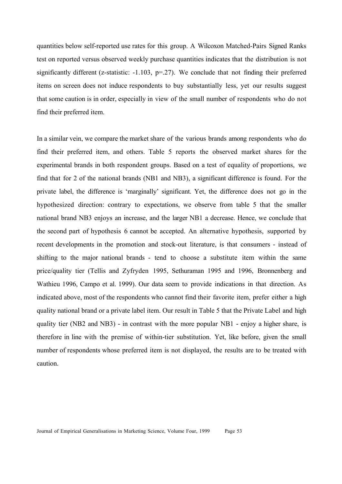quantities below self-reported use rates for this group. A Wilcoxon Matched-Pairs Signed Ranks test on reported versus observed weekly purchase quantities indicates that the distribution is not significantly different (z-statistic:  $-1.103$ ,  $p=27$ ). We conclude that not finding their preferred items on screen does not induce respondents to buy substantially less, yet our results suggest that some caution is in order, especially in view of the small number of respondents who do not find their preferred item.

In a similar vein, we compare the market share of the various brands among respondents who do find their preferred item, and others. Table 5 reports the observed market shares for the experimental brands in both respondent groups. Based on a test of equality of proportions, we find that for 2 of the national brands (NB1 and NB3), a significant difference is found. For the private label, the difference is 'marginally' significant. Yet, the difference does not go in the hypothesized direction: contrary to expectations, we observe from table 5 that the smaller national brand NB3 enjoys an increase, and the larger NB1 a decrease. Hence, we conclude that the second part of hypothesis 6 cannot be accepted. An alternative hypothesis, supported by recent developments in the promotion and stock-out literature, is that consumers - instead of shifting to the major national brands - tend to choose a substitute item within the same price/quality tier (Tellis and Zyfryden 1995, Sethuraman 1995 and 1996, Bronnenberg and Wathieu 1996, Campo et al. 1999). Our data seem to provide indications in that direction. As indicated above, most of the respondents who cannot find their favorite item, prefer either a high quality national brand or a private label item. Our result in Table 5 that the Private Label and high quality tier (NB2 and NB3) - in contrast with the more popular NB1 - enjoy a higher share, is therefore in line with the premise of within-tier substitution. Yet, like before, given the small number of respondents whose preferred item is not displayed, the results are to be treated with caution.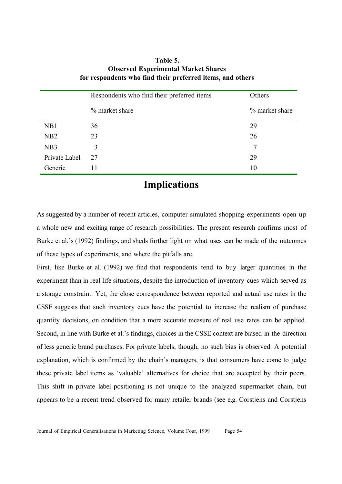|                  | Respondents who find their preferred items | Others         |
|------------------|--------------------------------------------|----------------|
|                  | % market share                             | % market share |
| NB1              | 36                                         | 29             |
| NB2              | 23                                         | 26             |
| N <sub>B</sub> 3 | 3                                          | 7              |
| Private Label    | 27                                         | 29             |
| Generic          | 11                                         | 10             |

#### **Table 5. Observed Experimental Market Shares for respondents who find their preferred items, and others**

## **Implications**

As suggested by a number of recent articles, computer simulated shopping experiments open up a whole new and exciting range of research possibilities. The present research confirms most of Burke et al.'s (1992) findings, and sheds further light on what uses can be made of the outcomes of these types of experiments, and where the pitfalls are.

First, like Burke et al. (1992) we find that respondents tend to buy larger quantities in the experiment than in real life situations, despite the introduction of inventory cues which served as a storage constraint. Yet, the close correspondence between reported and actual use rates in the CSSE suggests that such inventory cues have the potential to increase the realism of purchase quantity decisions, on condition that a more accurate measure of real use rates can be applied. Second, in line with Burke et al.'s findings, choices in the CSSE context are biased in the direction of less generic brand purchases. For private labels, though, no such bias is observed. A potential explanation, which is confirmed by the chain's managers, is that consumers have come to judge these private label items as 'valuable' alternatives for choice that are accepted by their peers. This shift in private label positioning is not unique to the analyzed supermarket chain, but appears to be a recent trend observed for many retailer brands (see e.g. Corstjens and Corstjens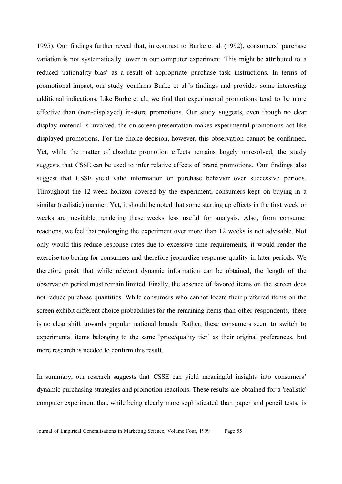1995). Our findings further reveal that, in contrast to Burke et al. (1992), consumers' purchase variation is not systematically lower in our computer experiment. This might be attributed to a reduced 'rationality bias' as a result of appropriate purchase task instructions. In terms of promotional impact, our study confirms Burke et al.'s findings and provides some interesting additional indications. Like Burke et al., we find that experimental promotions tend to be more effective than (non-displayed) in-store promotions. Our study suggests, even though no clear display material is involved, the on-screen presentation makes experimental promotions act like displayed promotions. For the choice decision, however, this observation cannot be confirmed. Yet, while the matter of absolute promotion effects remains largely unresolved, the study suggests that CSSE can be used to infer relative effects of brand promotions. Our findings also suggest that CSSE yield valid information on purchase behavior over successive periods. Throughout the 12-week horizon covered by the experiment, consumers kept on buying in a similar (realistic) manner. Yet, it should be noted that some starting up effects in the first week or weeks are inevitable, rendering these weeks less useful for analysis. Also, from consumer reactions, we feel that prolonging the experiment over more than 12 weeks is not advisable. Not only would this reduce response rates due to excessive time requirements, it would render the exercise too boring for consumers and therefore jeopardize response quality in later periods. We therefore posit that while relevant dynamic information can be obtained, the length of the observation period must remain limited. Finally, the absence of favored items on the screen does not reduce purchase quantities. While consumers who cannot locate their preferred items on the screen exhibit different choice probabilities for the remaining items than other respondents, there is no clear shift towards popular national brands. Rather, these consumers seem to switch to experimental items belonging to the same 'price/quality tier' as their original preferences, but more research is needed to confirm this result.

In summary, our research suggests that CSSE can yield meaningful insights into consumers' dynamic purchasing strategies and promotion reactions. These results are obtained for a 'realistic' computer experiment that, while being clearly more sophisticated than paper and pencil tests, is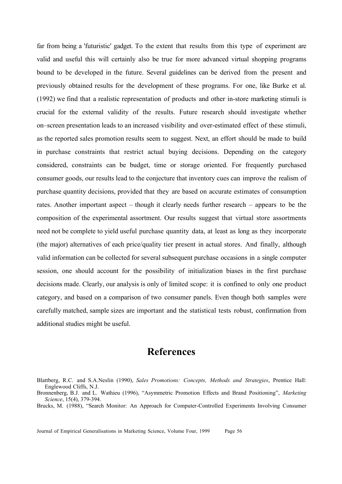far from being a 'futuristic' gadget. To the extent that results from this type of experiment are valid and useful this will certainly also be true for more advanced virtual shopping programs bound to be developed in the future. Several guidelines can be derived from the present and previously obtained results for the development of these programs. For one, like Burke et al. (1992) we find that a realistic representation of products and other in-store marketing stimuli is crucial for the external validity of the results. Future research should investigate whether on–screen presentation leads to an increased visibility and over-estimated effect of these stimuli, as the reported sales promotion results seem to suggest. Next, an effort should be made to build in purchase constraints that restrict actual buying decisions. Depending on the category considered, constraints can be budget, time or storage oriented. For frequently purchased consumer goods, our results lead to the conjecture that inventory cues can improve the realism of purchase quantity decisions, provided that they are based on accurate estimates of consumption rates. Another important aspect – though it clearly needs further research – appears to be the composition of the experimental assortment. Our results suggest that virtual store assortments need not be complete to yield useful purchase quantity data, at least as long as they incorporate (the major) alternatives of each price/quality tier present in actual stores. And finally, although valid information can be collected for several subsequent purchase occasions in a single computer session, one should account for the possibility of initialization biases in the first purchase decisions made. Clearly, our analysis is only of limited scope: it is confined to only one product category, and based on a comparison of two consumer panels. Even though both samples were carefully matched, sample sizes are important and the statistical tests robust, confirmation from additional studies might be useful.

## **References**

Journal of Empirical Generalisations in Marketing Science, Volume Four, 1999 Page 56

Blattberg, R.C. and S.A.Neslin (1990), *Sales Promotions: Concepts, Methods and Strategies*, Prentice Hall: Englewood Cliffs, N.J.

Bronnenberg, B.J. and L. Wathieu (1996), "Asymmetric Promotion Effects and Brand Positioning", *Marketing Science*, 15(4), 379-394.

Brucks, M. (1988), "Search Monitor: An Approach for Computer-Controlled Experiments Involving Consumer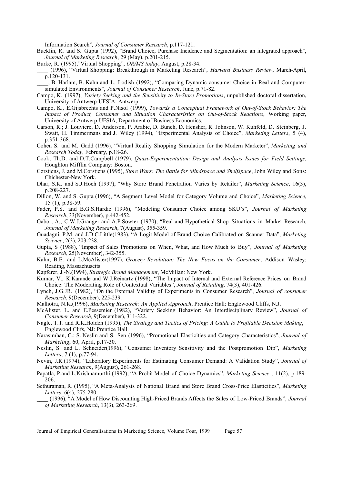Information Search"*, Journal of Consumer Research*, p.117-121.

- Bucklin, R. and S. Gupta (1992), "Brand Choice, Purchase Incidence and Segmentation: an integrated approach", *Journal of Marketing Research*, 29 (May), p.201-215.
- Burke, R. (1995),"Virtual Shopping", *OR/MS today*, August, p.28-34.
- \_\_\_\_ (1996), "Virtual Shopping: Breakthrough in Marketing Research", *Harvard Business Review*, March-April, p.120-131.
- \_\_\_\_, B. Harlam, B. Kahn and L. Lodish (1992), "Comparing Dynamic consumer Choice in Real and Computersimulated Environments", *Journal of Consumer Research*, June, p.71-82.
- Campo, K. (1997), *Variety Seeking and the Sensitivity to In-Store Promotions*, unpublished doctoral dissertation, University of Antwerp-UFSIA: Antwerp.
- Campo, K., E.Gijsbrechts and P.Nisol (1999), *Towards a Conceptual Framework of Out-of-Stock Behavior: The Impact of Product, Consumer and Situation Characteristics on Out-of-Stock Reactions*, Working paper, University of Antwerp-UFSIA, Department of Business Economics.
- Carson, R.; J. Louviere, D. Anderson, P. Arabie, D. Bunch, D. Hensher, R. Johnson, W. Kuhfeld, D. Steinberg, J. Swait, H. Timmermans and J. Wiley (1994), "Experimental Analysis of Choice", *Marketing Letters*, 5 (4), p.351-368.
- Cohen S. and M. Gadd (1996), "Virtual Reality Shopping Simulation for the Modern Marketer", *Marketing and Research Today*, February, p.18-26.
- Cook, Th.D. and D.T.Campbell (1979), *Quasi-Experimentation: Design and Analysis Issues for Field Settings*, Houghton Mifflin Company: Boston.
- Corstjens, J. and M.Corstjens (1995), *Store Wars: The Battle for Mindspace and Shelfspace*, John Wiley and Sons: Chichester-New York.
- Dhar, S.K. and S.J.Hoch (1997), "Why Store Brand Penetration Varies by Retailer", *Marketing Science*, 16(3), p.208-227.
- Dillon, W. and S. Gupta (1996), "A Segment Level Model for Category Volume and Choice", *Marketing Science*, 15 (1), p.38-59.
- Fader, P.S. and B.G.S.Hardie (1996), "Modeling Consumer Choice among SKU's", *Journal of Marketing Research*, 33(November), p.442-452.
- Gabor, A., C.W.J.Granger and A.P.Sowter (1970), "Real and Hypothetical Shop Situations in Market Research, *Journal of Marketing Research*, 7(August), 355-359.
- Guadagni, P.M. and J.D.C.Little(1983), "A Logit Model of Brand Choice Calibrated on Scanner Data", *Marketing Science*, 2(3), 203-238.
- Gupta, S (1988), "Impact of Sales Promotions on When, What, and How Much to Buy", *Journal of Marketing Research*, 25(November), 342-355.
- Kahn, B.E. and L.McAlister(1997), *Grocery Revolution: The New Focus on the Consumer*, Addison Wasley: Reading, Massachusetts.
- Kapferer, J.-N.(1994), *Strategic Brand Management*, McMillan: New York.
- Kumar, V., K.Karande and W.J.Reinartz (1998), "The Impact of Internal and External Reference Prices on Brand Choice: The Moderating Role of Contextual Variables", *Journal of Retailing*, 74(3), 401-426.
- Lynch, J.G.JR. (1982), "On the External Validity of Experiments in Consumer Research", *Journal of consumer Research*, 9(December), 225-239.
- Malhotra, N.K.(1996), *Marketing Research: An Applied Approach*, Prentice Hall: Englewood Cliffs, N.J.
- McAlister, L. and E.Pessemier (1982), "Variety Seeking Behavior: An Interdisciplinary Review", *Journal of Consumer Research,* 9(December), 311-322.
- Nagle, T.T. and R.K.Holden (1995), *The Strategy and Tactics of Pricing: A Guide to Profitable Decision Making*, Englewood Clifs, NJ: Prentice Hall.
- Narasimhan, C.; S. Neslin and S. Sen (1996), "Promotional Elasticities and Category Characteristics", *Journal of Marketing*, 60, April, p.17-30.
- Neslin, S. and L. Schneider(1996), "Consumer Inventory Sensitivity and the Postpromotion Dip", *Marketing Letters*, 7 (1), p.77-94.
- Nevin, J.R.(1974), "Laboratory Experiments for Estimating Consumer Demand: A Validation Study", *Journal of Marketing Research*, 9(August), 261-268.
- Papatla, P.and L.Krishnamurthi (1992), "A Probit Model of Choice Dynamics", *Marketing Science* , 11(2), p.189- 206.
- Sethuraman, R. (1995), "A Meta-Analysis of National Brand and Store Brand Cross-Price Elasticities", *Marketing Letters*, 6(4), 275-280.

\_\_\_\_ (1996), "A Model of How Discounting High-Priced Brands Affects the Sales of Low-Priced Brands", *Journal of Marketing Research*, 13(3), 263-269.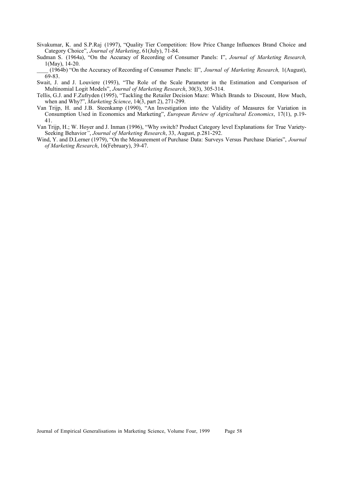Sivakumar, K. and S.P.Raj (1997), "Quality Tier Competition: How Price Change Influences Brand Choice and Category Choice", *Journal of Marketing*, 61(July), 71-84.

Sudman S. (1964a), "On the Accuracy of Recording of Consumer Panels: I", *Journal of Marketing Research,* 1(May), 14-20.

\_\_\_\_ (1964b) "On the Accuracy of Recording of Consumer Panels: II", *Journal of Marketing Research,* 1(August), 69-83.

Swait, J. and J. Louviere (1993), "The Role of the Scale Parameter in the Estimation and Comparison of Multinomial Logit Models", *Journal of Marketing Research*, 30(3), 305-314.

Tellis, G.J. and F.Zufryden (1995), "Tackling the Retailer Decision Maze: Which Brands to Discount, How Much, when and Why?", *Marketing Science*, 14(3, part 2), 271-299.

- Van Trijp, H. and J.B. Steenkamp (1990), "An Investigation into the Validity of Measures for Variation in Consumption Used in Economics and Marketing", *European Review of Agricultural Economics*, 17(1), p.19- 41.
- Van Trijp, H.; W. Hoyer and J. Inman (1996), "Why switch? Product Category level Explanations for True Variety-Seeking Behavior*"*, *Journal of Marketing Research*, 33, August, p.281-292.
- Wind, Y. and D.Lerner (1979), "On the Measurement of Purchase Data: Surveys Versus Purchase Diaries", *Journal of Marketing Research*, 16(February), 39-47.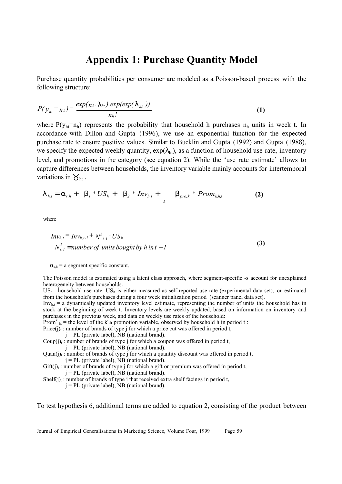### **Appendix 1: Purchase Quantity Model**

Purchase quantity probabilities per consumer are modeled as a Poisson-based process with the following structure:

$$
P(\mathbf{y}_{ht} = n_h) = \frac{\exp(n_h \cdot \lambda_{ht}) . \exp(\exp(\lambda_{ht}))}{n_h!}
$$
 (1)

where  $P(y<sub>h</sub>=n<sub>h</sub>)$  represents the probability that household h purchases  $n<sub>h</sub>$  units in week t. In accordance with Dillon and Gupta (1996), we use an exponential function for the expected purchase rate to ensure positive values. Similar to Bucklin and Gupta (1992) and Gupta (1988), we specify the expected weekly quantity,  $\exp(\lambda_{\text{ht}})$ , as a function of household use rate, inventory level, and promotions in the category (see equation 2). While the 'use rate estimate' allows to capture differences between households, the inventory variable mainly accounts for intertemporal variations in  $\mathcal{Y}_{ht}$ .

$$
\lambda_{h,t} = \alpha_{s,h} + \beta_1 * US_h + \beta_2 * Inv_{h,t} + \beta_{pro,k} * Prom_{k,h,t}
$$
 (2)

where

$$
Inv_{h,t} = Inv_{h,t-1} + N_{t-1}^{h} - US_{h}
$$
  
\n
$$
N_{t-1}^{h} = number of units bought by h in t - 1
$$
\n(3)

 $\alpha_{s,h}$  = a segment specific constant.

The Poisson model is estimated using a latent class approach, where segment-specific -s account for unexplained heterogeneity between households.

 $US<sub>h</sub>$  = household use rate.  $US<sub>h</sub>$  is either measured as self-reported use rate (experimental data set), or estimated from the household's purchases during a four week initialization period (scanner panel data set).

 $Inv<sub>h,t</sub> = a dynamically updated inventory level estimate, representing the number of units the household has in$ stock at the beginning of week t. Inventory levels are weekly updated, based on information on inventory and purchases in the previous week, and data on weekly use rates of the household:

Prom<sup>k</sup><sub>ht</sub> = the level of the k'th promotion variable, observed by household h in period t :

Price(j)<sub>t</sub>: number of brands of type j for which a price cut was offered in period t,

 $j = PL$  (private label), NB (national brand).

 $Coup(j)_{t}$ : number of brands of type j for which a coupon was offered in period t,

 $j = PL$  (private label), NB (national brand).

Quan(j)<sub>t</sub> : number of brands of type j for which a quantity discount was offered in period t,  $j = PL$  (private label), NB (national brand).

 $Giff(j)_t$ : number of brands of type j for which a gift or premium was offered in period t,  $j = PL$  (private label), NB (national brand).

Shelf(j)<sub>t</sub>: number of brands of type j that received extra shelf facings in period t,

 $j = PL$  (private label), NB (national brand).

To test hypothesis 6, additional terms are added to equation 2, consisting of the product between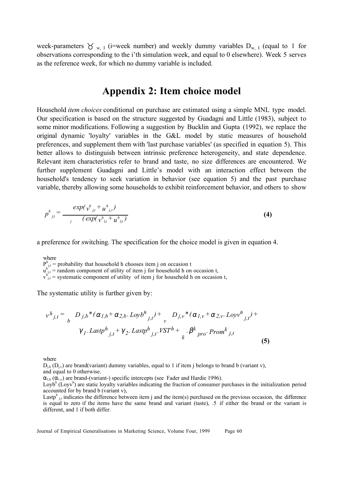week-parameters  $\forall$  w, I (i=week number) and weekly dummy variables  $D_{w, 1}$  (equal to 1 for observations corresponding to the i'th simulation week, and equal to 0 elsewhere). Week 5 serves as the reference week, for which no dummy variable is included.

### **Appendix 2: Item choice model**

Household *item choices* conditional on purchase are estimated using a simple MNL type model. Our specification is based on the structure suggested by Guadagni and Little (1983), subject to some minor modifications. Following a suggestion by Bucklin and Gupta (1992), we replace the original dynamic 'loyalty' variables in the G&L model by static measures of household preferences, and supplement them with 'last purchase variables' (as specified in equation 5). This better allows to distinguish between intrinsic preference heterogeneity, and state dependence. Relevant item characteristics refer to brand and taste, no size differences are encountered. We further supplement Guadagni and Little's model with an interaction effect between the household's tendency to seek variation in behavior (see equation 5) and the past purchase variable, thereby allowing some households to exhibit reinforcement behavior, and others to show

$$
p_{j,t}^{h} = \frac{exp(\sqrt{h_{j,t}} + u_{j,t}^{h})}{(exp(\sqrt{h_{j,t}} + u_{j,t}^{h}))}
$$
(4)

a preference for switching. The specification for the choice model is given in equation 4.

where

 $P_{i,t}^{h}$  = probability that household h chooses item j on occasion t

 $u_{j,t}^{h''}$  = random component of utility of item j for household h on occasion t,

 $v_{j,t}^{h''}$  = systematic component of utility of item j for household h on occasion t,

The systematic utility is further given by:

$$
v^{h}{}_{j,t} = \sum_{b} D_{j,b} * (\alpha_{1,b} + \alpha_{2,b} \cdot \text{Log}b^{h}{}_{j,t}) + \sum_{v} D_{j,v} * (\alpha_{1,v} + \alpha_{2,v} \cdot \text{Log}v^{h}{}_{j,t}) +
$$
  
 
$$
\gamma_{1} \cdot \text{Lastp}^{h}{}_{j,t} + \gamma_{2} \cdot \text{Lastp}^{h}{}_{j,t} \cdot \text{VST}^{h} + \sum_{k} \beta^{k}{}_{pro} \cdot \text{Prom}^{k}{}_{j,t}
$$
 (5)

where

 $D_{i,b}$  ( $D_{i,y}$ ) are brand(variant) dummy variables, equal to 1 if item j belongs to brand b (variant v),

and equal to 0 otherwise.

 $\alpha_{1,b}$  ( $\alpha_{1,v}$ ) are brand-(variant-) specific intercepts (see Fader and Hardie 1996).

Loyb<sup>h</sup> (Loyv<sup>h</sup>) are static loyalty variables indicating the fraction of consumer purchases in the initialization period accounted for by brand b (variant v),

Lastp<sup>h</sup><sub>j,t</sub> indicates the difference between item j and the item(s) purchased on the previous occasion, the difference is equal to zero if the items have the same brand and variant (taste), .5 if either the brand or the variant is different, and 1 if both differ.